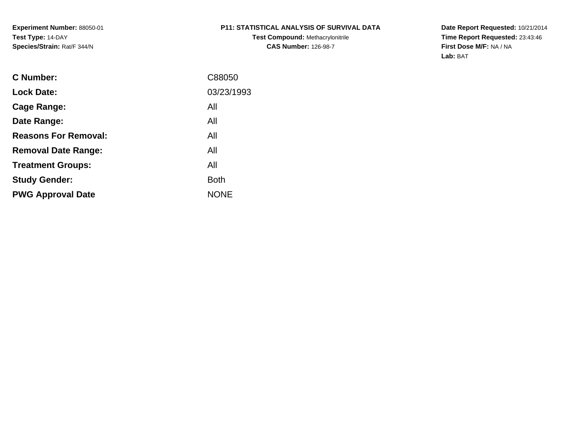**Experiment Number:** 88050-01**Test Type:** 14-DAY**Species/Strain:** Rat/F 344/N

# **P11: STATISTICAL ANALYSIS OF SURVIVAL DATA**

**Test Compound:** Methacrylonitrile**CAS Number:** 126-98-7

**Date Report Requested:** 10/21/2014 **Time Report Requested:** 23:43:46**First Dose M/F:** NA / NA**Lab:** BAT

| C Number:                   | C88050      |
|-----------------------------|-------------|
| <b>Lock Date:</b>           | 03/23/1993  |
| Cage Range:                 | All         |
| Date Range:                 | All         |
| <b>Reasons For Removal:</b> | All         |
| <b>Removal Date Range:</b>  | All         |
| <b>Treatment Groups:</b>    | All         |
| <b>Study Gender:</b>        | <b>Both</b> |
| <b>PWG Approval Date</b>    | <b>NONE</b> |
|                             |             |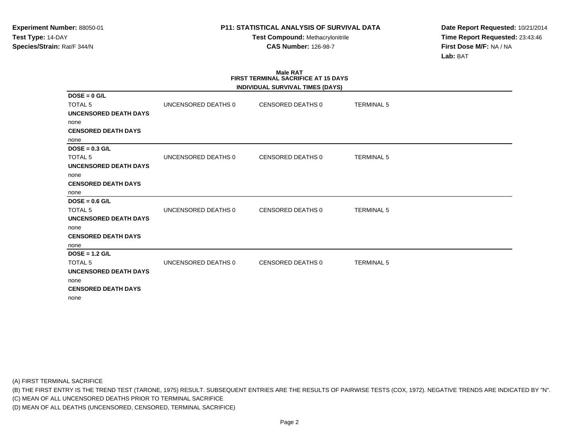**Test Compound:** Methacrylonitrile**CAS Number:** 126-98-7

**Date Report Requested:** 10/21/2014**Time Report Requested:** 23:43:46**First Dose M/F:** NA / NA**Lab:** BAT

### **Male RAT FIRST TERMINAL SACRIFICE AT 15 DAYSINDIVIDUAL SURVIVAL TIMES (DAYS)**

|                              |                     | INDIVIDUAL SURVIVAL TIMES (DAYS) |                   |  |
|------------------------------|---------------------|----------------------------------|-------------------|--|
| $DOSE = 0$ G/L               |                     |                                  |                   |  |
| <b>TOTAL 5</b>               | UNCENSORED DEATHS 0 | CENSORED DEATHS 0                | <b>TERMINAL 5</b> |  |
| <b>UNCENSORED DEATH DAYS</b> |                     |                                  |                   |  |
| none                         |                     |                                  |                   |  |
| <b>CENSORED DEATH DAYS</b>   |                     |                                  |                   |  |
| none                         |                     |                                  |                   |  |
| $DOSE = 0.3$ G/L             |                     |                                  |                   |  |
| <b>TOTAL 5</b>               | UNCENSORED DEATHS 0 | CENSORED DEATHS 0                | <b>TERMINAL 5</b> |  |
| <b>UNCENSORED DEATH DAYS</b> |                     |                                  |                   |  |
| none                         |                     |                                  |                   |  |
| <b>CENSORED DEATH DAYS</b>   |                     |                                  |                   |  |
| none                         |                     |                                  |                   |  |
| $DOSE = 0.6$ G/L             |                     |                                  |                   |  |
| <b>TOTAL 5</b>               | UNCENSORED DEATHS 0 | <b>CENSORED DEATHS 0</b>         | <b>TERMINAL 5</b> |  |
| <b>UNCENSORED DEATH DAYS</b> |                     |                                  |                   |  |
| none                         |                     |                                  |                   |  |
| <b>CENSORED DEATH DAYS</b>   |                     |                                  |                   |  |
| none                         |                     |                                  |                   |  |
| $DOSE = 1.2$ G/L             |                     |                                  |                   |  |
| <b>TOTAL 5</b>               | UNCENSORED DEATHS 0 | <b>CENSORED DEATHS 0</b>         | <b>TERMINAL 5</b> |  |
| <b>UNCENSORED DEATH DAYS</b> |                     |                                  |                   |  |
| none                         |                     |                                  |                   |  |
| <b>CENSORED DEATH DAYS</b>   |                     |                                  |                   |  |
| none                         |                     |                                  |                   |  |

(A) FIRST TERMINAL SACRIFICE

(B) THE FIRST ENTRY IS THE TREND TEST (TARONE, 1975) RESULT. SUBSEQUENT ENTRIES ARE THE RESULTS OF PAIRWISE TESTS (COX, 1972). NEGATIVE TRENDS ARE INDICATED BY "N".

(C) MEAN OF ALL UNCENSORED DEATHS PRIOR TO TERMINAL SACRIFICE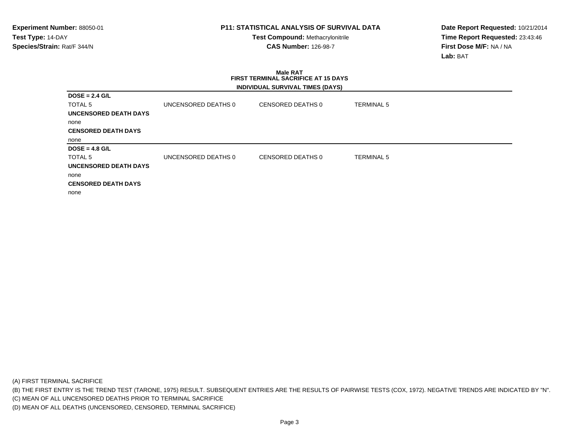**Test Compound:** Methacrylonitrile**CAS Number:** 126-98-7

**Date Report Requested:** 10/21/2014**Time Report Requested:** 23:43:46**First Dose M/F:** NA / NA**Lab:** BAT

# **Male RAT FIRST TERMINAL SACRIFICE AT 15 DAYSINDIVIDUAL SURVIVAL TIMES (DAYS)**

| $DOSE = 2.4 G/L$           |                     |                   |                   |
|----------------------------|---------------------|-------------------|-------------------|
| TOTAL 5                    | UNCENSORED DEATHS 0 | CENSORED DEATHS 0 | TERMINAL 5        |
| UNCENSORED DEATH DAYS      |                     |                   |                   |
| none                       |                     |                   |                   |
| <b>CENSORED DEATH DAYS</b> |                     |                   |                   |
| none                       |                     |                   |                   |
| $DOSE = 4.8$ G/L           |                     |                   |                   |
| TOTAL 5                    | UNCENSORED DEATHS 0 | CENSORED DEATHS 0 | <b>TERMINAL 5</b> |
| UNCENSORED DEATH DAYS      |                     |                   |                   |
| none                       |                     |                   |                   |
| <b>CENSORED DEATH DAYS</b> |                     |                   |                   |
| none                       |                     |                   |                   |

(A) FIRST TERMINAL SACRIFICE

(B) THE FIRST ENTRY IS THE TREND TEST (TARONE, 1975) RESULT. SUBSEQUENT ENTRIES ARE THE RESULTS OF PAIRWISE TESTS (COX, 1972). NEGATIVE TRENDS ARE INDICATED BY "N".

(C) MEAN OF ALL UNCENSORED DEATHS PRIOR TO TERMINAL SACRIFICE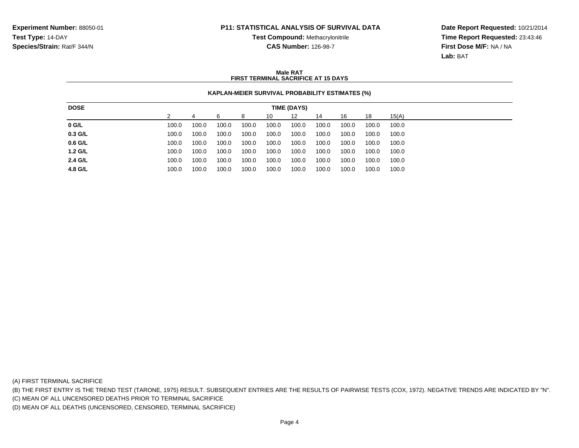**Test Compound:** Methacrylonitrile**CAS Number:** 126-98-7

**Date Report Requested:** 10/21/2014**Time Report Requested:** 23:43:46**First Dose M/F:** NA / NA**Lab:** BAT

### **Male RATFIRST TERMINAL SACRIFICE AT 15 DAYS**

## **KAPLAN-MEIER SURVIVAL PROBABILITY ESTIMATES (%)**

| <b>DOSE</b> |       |       |       |       |       | TIME (DAYS) |       |       |       |       |
|-------------|-------|-------|-------|-------|-------|-------------|-------|-------|-------|-------|
|             |       |       | 6     | 8     | 10    | 12          | 14    | 16    | 18    | 15(A) |
| $0$ G/L     | 100.0 | 100.0 | 100.0 | 100.0 | 100.0 | 100.0       | 100.0 | 100.0 | 100.0 | 100.0 |
| $0.3$ G/L   | 100.0 | 100.0 | 100.0 | 100.0 | 100.0 | 100.0       | 100.0 | 100.0 | 100.0 | 100.0 |
| 0.6 G/L     | 100.0 | 100.0 | 100.0 | 100.0 | 100.0 | 100.0       | 100.0 | 100.0 | 100.0 | 100.0 |
| $1.2$ G/L   | 100.0 | 100.0 | 100.0 | 100.0 | 100.0 | 100.0       | 100.0 | 100.0 | 100.0 | 100.0 |
| 2.4 G/L     | 100.0 | 100.0 | 100.0 | 100.0 | 100.0 | 100.0       | 100.0 | 100.0 | 100.0 | 100.0 |
| 4.8 G/L     | 100.0 | 100.0 | 100.0 | 100.0 | 100.0 | 100.0       | 100.0 | 100.0 | 100.0 | 100.0 |

(A) FIRST TERMINAL SACRIFICE

(B) THE FIRST ENTRY IS THE TREND TEST (TARONE, 1975) RESULT. SUBSEQUENT ENTRIES ARE THE RESULTS OF PAIRWISE TESTS (COX, 1972). NEGATIVE TRENDS ARE INDICATED BY "N".

(C) MEAN OF ALL UNCENSORED DEATHS PRIOR TO TERMINAL SACRIFICE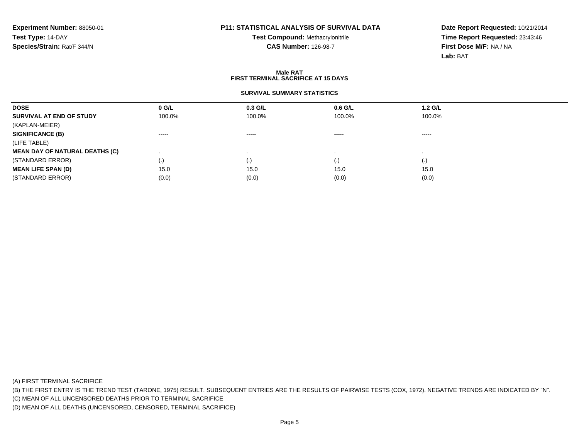# **Test Compound:** Methacrylonitrile**CAS Number:** 126-98-7

**Date Report Requested:** 10/21/2014**Time Report Requested:** 23:43:46**First Dose M/F:** NA / NA**Lab:** BAT

#### **Male RAT FIRST TERMINAL SACRIFICE AT 15 DAYSSURVIVAL SUMMARY STATISTICSDOSE 0 G/L 0.3 G/L 0.6 G/L 1.2 G/L SURVIVAL AT END OF STUDY** 100.0% 100.0% 100.0% 100.0% (KAPLAN-MEIER)**SIGNIFICANCE (B)** ----- ----- ----- ----- (LIFE TABLE) **MEAN DAY OF NATURAL DEATHS (C)** . . . . (STANDARD ERROR) (.) (.) (.) (.) **MEAN LIFE SPAN (D)** $\bullet$  15.0 0 15.0 15.0 15.0 15.0 15.0 (STANDARD ERROR) $(0.0)$   $(0.0)$   $(0.0)$   $(0.0)$   $(0.0)$   $(0.0)$   $(0.0)$   $(0.0)$

(A) FIRST TERMINAL SACRIFICE

(B) THE FIRST ENTRY IS THE TREND TEST (TARONE, 1975) RESULT. SUBSEQUENT ENTRIES ARE THE RESULTS OF PAIRWISE TESTS (COX, 1972). NEGATIVE TRENDS ARE INDICATED BY "N".

(C) MEAN OF ALL UNCENSORED DEATHS PRIOR TO TERMINAL SACRIFICE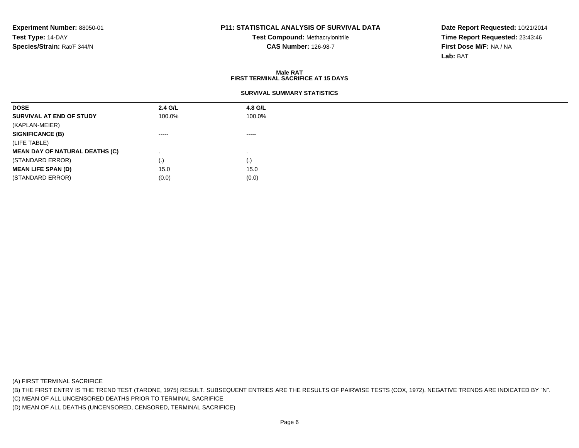**Test Compound:** Methacrylonitrile**CAS Number:** 126-98-7

**Date Report Requested:** 10/21/2014**Time Report Requested:** 23:43:46**First Dose M/F:** NA / NA**Lab:** BAT

#### **Male RAT FIRST TERMINAL SACRIFICE AT 15 DAYSSURVIVAL SUMMARY STATISTICSDOSE 2.4 G/L 4.8 G/L SURVIVAL AT END OF STUDY** 100.0%%  $100.0\%$ (KAPLAN-MEIER)**SIGNIFICANCE (B)** ----- ----- (LIFE TABLE) **MEAN DAY OF NATURAL DEATHS (C)** . . (STANDARD ERROR) $\qquad \qquad (\text{.})$  (0) **MEAN LIFE SPAN (D)** $\bullet$  15.0 15.0 (STANDARD ERROR)

(A) FIRST TERMINAL SACRIFICE

(B) THE FIRST ENTRY IS THE TREND TEST (TARONE, 1975) RESULT. SUBSEQUENT ENTRIES ARE THE RESULTS OF PAIRWISE TESTS (COX, 1972). NEGATIVE TRENDS ARE INDICATED BY "N".

(C) MEAN OF ALL UNCENSORED DEATHS PRIOR TO TERMINAL SACRIFICE

(D) MEAN OF ALL DEATHS (UNCENSORED, CENSORED, TERMINAL SACRIFICE)

 $(0.0)$  (0.0)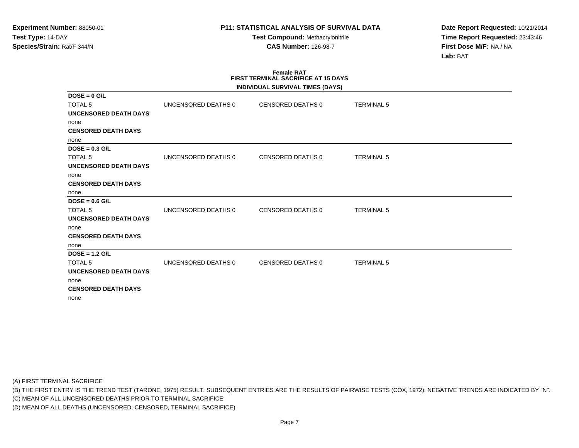**Test Compound:** Methacrylonitrile**CAS Number:** 126-98-7

**Date Report Requested:** 10/21/2014**Time Report Requested:** 23:43:46**First Dose M/F:** NA / NA**Lab:** BAT

### **Female RAT FIRST TERMINAL SACRIFICE AT 15 DAYSINDIVIDUAL SURVIVAL TIMES (DAYS)**

|                              |                     | INDIVIDUAL SURVIVAL TIMES (DATS) |                   |  |
|------------------------------|---------------------|----------------------------------|-------------------|--|
| $DOSE = 0$ G/L               |                     |                                  |                   |  |
| <b>TOTAL 5</b>               | UNCENSORED DEATHS 0 | CENSORED DEATHS 0                | <b>TERMINAL 5</b> |  |
| <b>UNCENSORED DEATH DAYS</b> |                     |                                  |                   |  |
| none                         |                     |                                  |                   |  |
| <b>CENSORED DEATH DAYS</b>   |                     |                                  |                   |  |
| none                         |                     |                                  |                   |  |
| $DOSE = 0.3$ G/L             |                     |                                  |                   |  |
| <b>TOTAL 5</b>               | UNCENSORED DEATHS 0 | CENSORED DEATHS 0                | <b>TERMINAL 5</b> |  |
| UNCENSORED DEATH DAYS        |                     |                                  |                   |  |
| none                         |                     |                                  |                   |  |
| <b>CENSORED DEATH DAYS</b>   |                     |                                  |                   |  |
| none                         |                     |                                  |                   |  |
| $DOSE = 0.6$ G/L             |                     |                                  |                   |  |
| <b>TOTAL 5</b>               | UNCENSORED DEATHS 0 | CENSORED DEATHS 0                | <b>TERMINAL 5</b> |  |
| <b>UNCENSORED DEATH DAYS</b> |                     |                                  |                   |  |
| none                         |                     |                                  |                   |  |
| <b>CENSORED DEATH DAYS</b>   |                     |                                  |                   |  |
| none                         |                     |                                  |                   |  |
| $DOSE = 1.2$ G/L             |                     |                                  |                   |  |
| <b>TOTAL 5</b>               | UNCENSORED DEATHS 0 | CENSORED DEATHS 0                | <b>TERMINAL 5</b> |  |
| <b>UNCENSORED DEATH DAYS</b> |                     |                                  |                   |  |
| none                         |                     |                                  |                   |  |
| <b>CENSORED DEATH DAYS</b>   |                     |                                  |                   |  |
| none                         |                     |                                  |                   |  |
|                              |                     |                                  |                   |  |

(A) FIRST TERMINAL SACRIFICE

(B) THE FIRST ENTRY IS THE TREND TEST (TARONE, 1975) RESULT. SUBSEQUENT ENTRIES ARE THE RESULTS OF PAIRWISE TESTS (COX, 1972). NEGATIVE TRENDS ARE INDICATED BY "N".

(C) MEAN OF ALL UNCENSORED DEATHS PRIOR TO TERMINAL SACRIFICE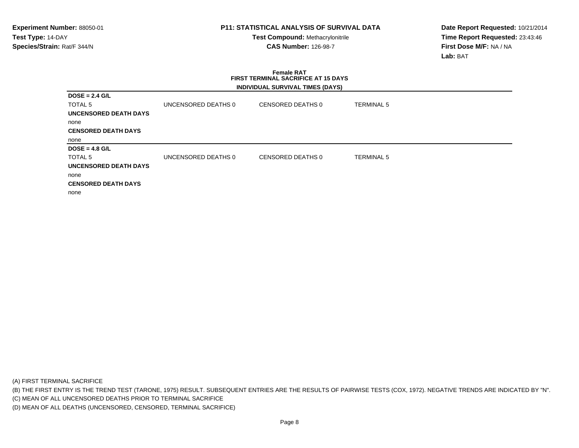**Test Compound:** Methacrylonitrile**CAS Number:** 126-98-7

**Date Report Requested:** 10/21/2014**Time Report Requested:** 23:43:46**First Dose M/F:** NA / NA**Lab:** BAT

# **Female RAT FIRST TERMINAL SACRIFICE AT 15 DAYSINDIVIDUAL SURVIVAL TIMES (DAYS)**

| $DOSE = 2.4$ G/L           |                     |                   |                   |  |
|----------------------------|---------------------|-------------------|-------------------|--|
| TOTAL 5                    | UNCENSORED DEATHS 0 | CENSORED DEATHS 0 | <b>TERMINAL 5</b> |  |
| UNCENSORED DEATH DAYS      |                     |                   |                   |  |
| none                       |                     |                   |                   |  |
| <b>CENSORED DEATH DAYS</b> |                     |                   |                   |  |
| none                       |                     |                   |                   |  |
| $DOSE = 4.8$ G/L           |                     |                   |                   |  |
| TOTAL 5                    | UNCENSORED DEATHS 0 | CENSORED DEATHS 0 | <b>TERMINAL 5</b> |  |
| UNCENSORED DEATH DAYS      |                     |                   |                   |  |
| none                       |                     |                   |                   |  |
| <b>CENSORED DEATH DAYS</b> |                     |                   |                   |  |
| none                       |                     |                   |                   |  |

(A) FIRST TERMINAL SACRIFICE

(B) THE FIRST ENTRY IS THE TREND TEST (TARONE, 1975) RESULT. SUBSEQUENT ENTRIES ARE THE RESULTS OF PAIRWISE TESTS (COX, 1972). NEGATIVE TRENDS ARE INDICATED BY "N".

(C) MEAN OF ALL UNCENSORED DEATHS PRIOR TO TERMINAL SACRIFICE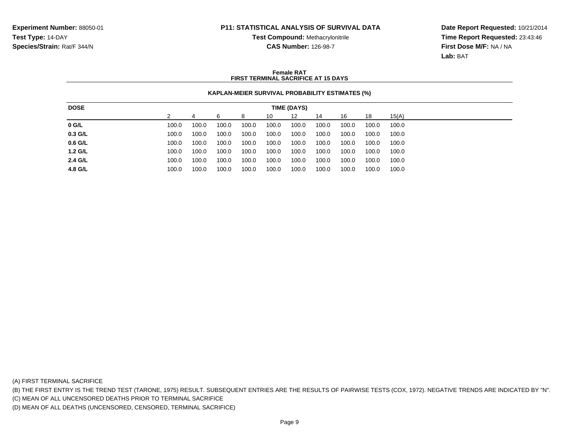**Test Compound:** Methacrylonitrile**CAS Number:** 126-98-7

**Date Report Requested:** 10/21/2014**Time Report Requested:** 23:43:46**First Dose M/F:** NA / NA**Lab:** BAT

### **Female RATFIRST TERMINAL SACRIFICE AT 15 DAYS**

## **KAPLAN-MEIER SURVIVAL PROBABILITY ESTIMATES (%)**

| <b>DOSE</b> |       |       |       |       |       | TIME (DAYS) |       |       |       |       |
|-------------|-------|-------|-------|-------|-------|-------------|-------|-------|-------|-------|
|             |       |       | 6     | 8     | 10    | 12          | 14    | 16    | 18    | 15(A) |
| $0$ G/L     | 100.0 | 100.0 | 100.0 | 100.0 | 100.0 | 100.0       | 100.0 | 100.0 | 100.0 | 100.0 |
| 0.3 G/L     | 100.0 | 100.0 | 100.0 | 100.0 | 100.0 | 100.0       | 100.0 | 100.0 | 100.0 | 100.0 |
| $0.6$ G/L   | 100.0 | 100.0 | 100.0 | 100.0 | 100.0 | 100.0       | 100.0 | 100.0 | 100.0 | 100.0 |
| $1.2$ G/L   | 100.0 | 100.0 | 100.0 | 100.0 | 100.0 | 100.0       | 100.0 | 100.0 | 100.0 | 100.0 |
| 2.4 G/L     | 100.0 | 100.0 | 100.0 | 100.0 | 100.0 | 100.0       | 100.0 | 100.0 | 100.0 | 100.0 |
| 4.8 G/L     | 100.0 | 100.0 | 100.0 | 100.0 | 100.0 | 100.0       | 100.0 | 100.0 | 100.0 | 100.0 |

(A) FIRST TERMINAL SACRIFICE

(B) THE FIRST ENTRY IS THE TREND TEST (TARONE, 1975) RESULT. SUBSEQUENT ENTRIES ARE THE RESULTS OF PAIRWISE TESTS (COX, 1972). NEGATIVE TRENDS ARE INDICATED BY "N".

(C) MEAN OF ALL UNCENSORED DEATHS PRIOR TO TERMINAL SACRIFICE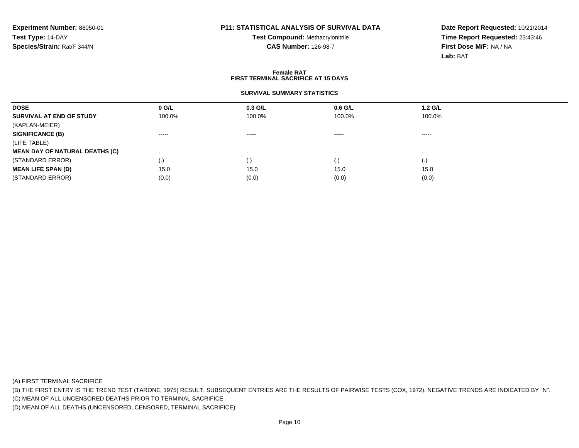# **Test Compound:** Methacrylonitrile**CAS Number:** 126-98-7

**Date Report Requested:** 10/21/2014**Time Report Requested:** 23:43:46**First Dose M/F:** NA / NA**Lab:** BAT

#### **Female RAT FIRST TERMINAL SACRIFICE AT 15 DAYSSURVIVAL SUMMARY STATISTICSDOSE 0 G/L 0.3 G/L 0.6 G/L 1.2 G/L SURVIVAL AT END OF STUDY** 100.0% 100.0% 100.0% 100.0% (KAPLAN-MEIER)**SIGNIFICANCE (B)** ----- ----- ----- ----- (LIFE TABLE) **MEAN DAY OF NATURAL DEATHS (C)** . . . . (STANDARD ERROR) (.) (.) (.) (.) **MEAN LIFE SPAN (D)** $\bullet$  15.0 0 15.0 15.0 15.0 15.0 15.0 (STANDARD ERROR) $(0.0)$   $(0.0)$   $(0.0)$   $(0.0)$   $(0.0)$   $(0.0)$   $(0.0)$   $(0.0)$

(A) FIRST TERMINAL SACRIFICE

(B) THE FIRST ENTRY IS THE TREND TEST (TARONE, 1975) RESULT. SUBSEQUENT ENTRIES ARE THE RESULTS OF PAIRWISE TESTS (COX, 1972). NEGATIVE TRENDS ARE INDICATED BY "N".

(C) MEAN OF ALL UNCENSORED DEATHS PRIOR TO TERMINAL SACRIFICE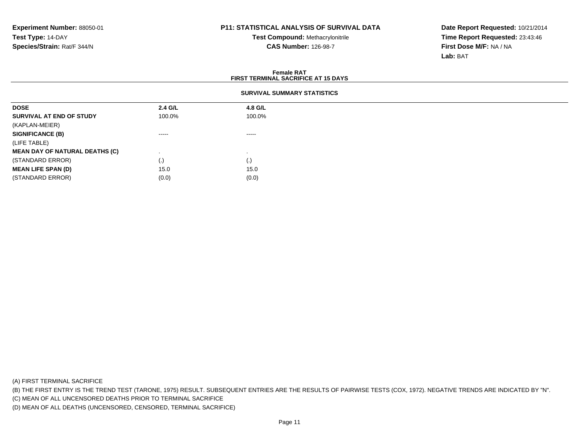**Test Compound:** Methacrylonitrile**CAS Number:** 126-98-7

**Date Report Requested:** 10/21/2014**Time Report Requested:** 23:43:46**First Dose M/F:** NA / NA**Lab:** BAT

#### **Female RAT FIRST TERMINAL SACRIFICE AT 15 DAYSSURVIVAL SUMMARY STATISTICSDOSE 2.4 G/L 4.8 G/L SURVIVAL AT END OF STUDY** 100.0%%  $100.0\%$ (KAPLAN-MEIER)**SIGNIFICANCE (B)** ----- ----- (LIFE TABLE) **MEAN DAY OF NATURAL DEATHS (C)** . . (STANDARD ERROR) $\qquad \qquad (\text{.})$  (0) **MEAN LIFE SPAN (D)** $\bullet$  15.0 15.0 (STANDARD ERROR)

(A) FIRST TERMINAL SACRIFICE

(B) THE FIRST ENTRY IS THE TREND TEST (TARONE, 1975) RESULT. SUBSEQUENT ENTRIES ARE THE RESULTS OF PAIRWISE TESTS (COX, 1972). NEGATIVE TRENDS ARE INDICATED BY "N".

(C) MEAN OF ALL UNCENSORED DEATHS PRIOR TO TERMINAL SACRIFICE

(D) MEAN OF ALL DEATHS (UNCENSORED, CENSORED, TERMINAL SACRIFICE)

 $(0.0)$  (0.0)